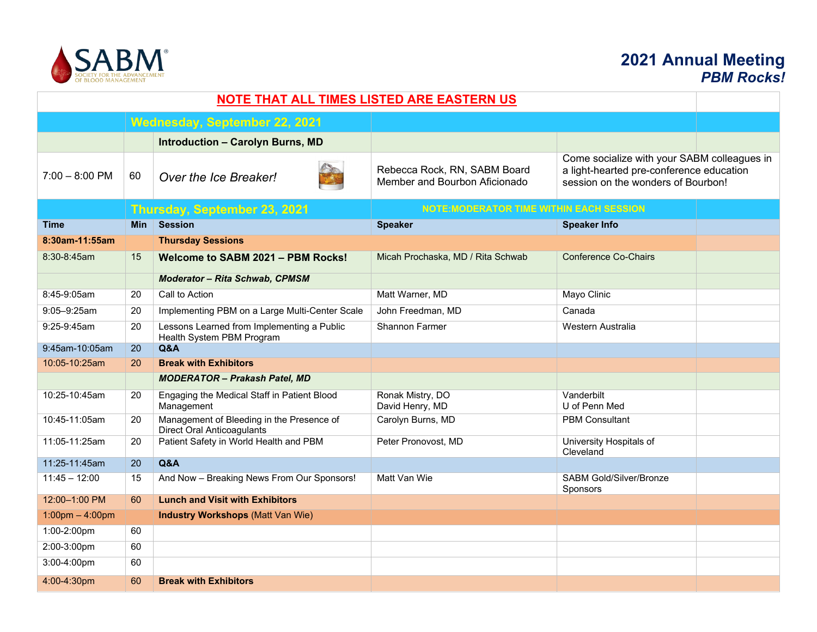

## **2021 Annual Meeting** *PBM Rocks!*

| <b>NOTE THAT ALL TIMES LISTED ARE EASTERN US</b> |            |                                                                         |                                                               |                                                                                                                               |
|--------------------------------------------------|------------|-------------------------------------------------------------------------|---------------------------------------------------------------|-------------------------------------------------------------------------------------------------------------------------------|
| Wednesday, September 22, 2021                    |            |                                                                         |                                                               |                                                                                                                               |
|                                                  |            | <b>Introduction - Carolyn Burns, MD</b>                                 |                                                               |                                                                                                                               |
| $7:00 - 8:00$ PM                                 | 60         | Over the Ice Breaker!                                                   | Rebecca Rock, RN, SABM Board<br>Member and Bourbon Aficionado | Come socialize with your SABM colleagues in<br>a light-hearted pre-conference education<br>session on the wonders of Bourbon! |
|                                                  |            | Thursday, September 23, 2021                                            | <b>NOTE: MODERATOR TIME WITHIN EACH SESSION</b>               |                                                                                                                               |
| <b>Time</b>                                      | <b>Min</b> | <b>Session</b>                                                          | <b>Speaker</b>                                                | <b>Speaker Info</b>                                                                                                           |
| 8:30am-11:55am                                   |            | <b>Thursday Sessions</b>                                                |                                                               |                                                                                                                               |
| 8:30-8:45am                                      | 15         | Welcome to SABM 2021 - PBM Rocks!                                       | Micah Prochaska, MD / Rita Schwab                             | <b>Conference Co-Chairs</b>                                                                                                   |
|                                                  |            | Moderator - Rita Schwab, CPMSM                                          |                                                               |                                                                                                                               |
| 8:45-9:05am                                      | 20         | Call to Action                                                          | Matt Warner, MD                                               | Mayo Clinic                                                                                                                   |
| 9:05-9:25am                                      | 20         | Implementing PBM on a Large Multi-Center Scale                          | John Freedman, MD                                             | Canada                                                                                                                        |
| 9:25-9:45am                                      | 20         | Lessons Learned from Implementing a Public<br>Health System PBM Program | <b>Shannon Farmer</b>                                         | Western Australia                                                                                                             |
| 9:45am-10:05am                                   | 20         | Q&A                                                                     |                                                               |                                                                                                                               |
| 10:05-10:25am                                    | 20         | <b>Break with Exhibitors</b>                                            |                                                               |                                                                                                                               |
|                                                  |            | <b>MODERATOR - Prakash Patel, MD</b>                                    |                                                               |                                                                                                                               |
| 10:25-10:45am                                    | 20         | Engaging the Medical Staff in Patient Blood<br>Management               | Ronak Mistry, DO<br>David Henry, MD                           | Vanderbilt<br>U of Penn Med                                                                                                   |
| 10:45-11:05am                                    | 20         | Management of Bleeding in the Presence of<br>Direct Oral Anticoagulants | Carolyn Burns, MD                                             | <b>PBM Consultant</b>                                                                                                         |
| 11:05-11:25am                                    | 20         | Patient Safety in World Health and PBM                                  | Peter Pronovost, MD                                           | University Hospitals of<br>Cleveland                                                                                          |
| 11:25-11:45am                                    | 20         | Q&A                                                                     |                                                               |                                                                                                                               |
| $11:45 - 12:00$                                  | 15         | And Now - Breaking News From Our Sponsors!                              | Matt Van Wie                                                  | <b>SABM Gold/Silver/Bronze</b><br>Sponsors                                                                                    |
| 12:00-1:00 PM                                    | 60         | <b>Lunch and Visit with Exhibitors</b>                                  |                                                               |                                                                                                                               |
| $1:00$ pm $- 4:00$ pm                            |            | <b>Industry Workshops (Matt Van Wie)</b>                                |                                                               |                                                                                                                               |
| 1:00-2:00pm                                      | 60         |                                                                         |                                                               |                                                                                                                               |
| 2:00-3:00pm                                      | 60         |                                                                         |                                                               |                                                                                                                               |
| 3:00-4:00pm                                      | 60         |                                                                         |                                                               |                                                                                                                               |
| 4:00-4:30pm                                      | 60         | <b>Break with Exhibitors</b>                                            |                                                               |                                                                                                                               |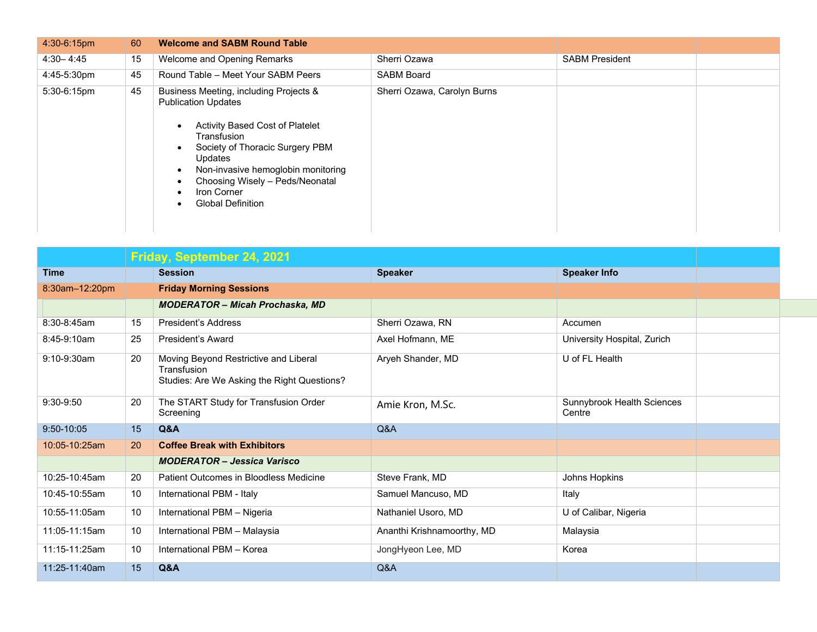| 4:30-6:15pm   | 60 | <b>Welcome and SABM Round Table</b>                                                                                                                                                                                                                                                      |                             |                       |  |
|---------------|----|------------------------------------------------------------------------------------------------------------------------------------------------------------------------------------------------------------------------------------------------------------------------------------------|-----------------------------|-----------------------|--|
| $4:30 - 4:45$ | 15 | Welcome and Opening Remarks                                                                                                                                                                                                                                                              | Sherri Ozawa                | <b>SABM President</b> |  |
| 4:45-5:30pm   | 45 | Round Table - Meet Your SABM Peers                                                                                                                                                                                                                                                       | <b>SABM Board</b>           |                       |  |
| 5:30-6:15pm   | 45 | Business Meeting, including Projects &<br><b>Publication Updates</b><br>Activity Based Cost of Platelet<br>Transfusion<br>Society of Thoracic Surgery PBM<br>Updates<br>Non-invasive hemoglobin monitoring<br>Choosing Wisely - Peds/Neonatal<br>Iron Corner<br><b>Global Definition</b> | Sherri Ozawa, Carolyn Burns |                       |  |

|                | Friday, September 24, 2021 |                                                                                                     |                            |                                      |
|----------------|----------------------------|-----------------------------------------------------------------------------------------------------|----------------------------|--------------------------------------|
| <b>Time</b>    |                            | <b>Session</b>                                                                                      | <b>Speaker</b>             | <b>Speaker Info</b>                  |
| 8:30am-12:20pm |                            | <b>Friday Morning Sessions</b>                                                                      |                            |                                      |
|                |                            | <b>MODERATOR - Micah Prochaska, MD</b>                                                              |                            |                                      |
| 8:30-8:45am    | 15                         | <b>President's Address</b>                                                                          | Sherri Ozawa, RN           | Accumen                              |
| 8:45-9:10am    | 25                         | President's Award                                                                                   | Axel Hofmann, ME           | University Hospital, Zurich          |
| 9:10-9:30am    | 20                         | Moving Beyond Restrictive and Liberal<br>Transfusion<br>Studies: Are We Asking the Right Questions? | Aryeh Shander, MD          | U of FL Health                       |
| 9:30-9:50      | 20                         | The START Study for Transfusion Order<br>Screening                                                  | Amie Kron, M.Sc.           | Sunnybrook Health Sciences<br>Centre |
| $9:50 - 10:05$ | 15                         | Q&A                                                                                                 | Q&A                        |                                      |
| 10:05-10:25am  | <b>20</b>                  | <b>Coffee Break with Exhibitors</b>                                                                 |                            |                                      |
|                |                            | <b>MODERATOR - Jessica Varisco</b>                                                                  |                            |                                      |
| 10:25-10:45am  | 20                         | Patient Outcomes in Bloodless Medicine                                                              | Steve Frank, MD            | Johns Hopkins                        |
| 10:45-10:55am  | 10                         | International PBM - Italy                                                                           | Samuel Mancuso, MD         | Italy                                |
| 10:55-11:05am  | 10                         | International PBM - Nigeria                                                                         | Nathaniel Usoro, MD        | U of Calibar, Nigeria                |
| 11:05-11:15am  | 10                         | International PBM - Malaysia                                                                        | Ananthi Krishnamoorthy, MD | Malaysia                             |
| 11:15-11:25am  | 10                         | International PBM - Korea                                                                           | JongHyeon Lee, MD          | Korea                                |
| 11:25-11:40am  | 15                         | Q&A                                                                                                 | Q&A                        |                                      |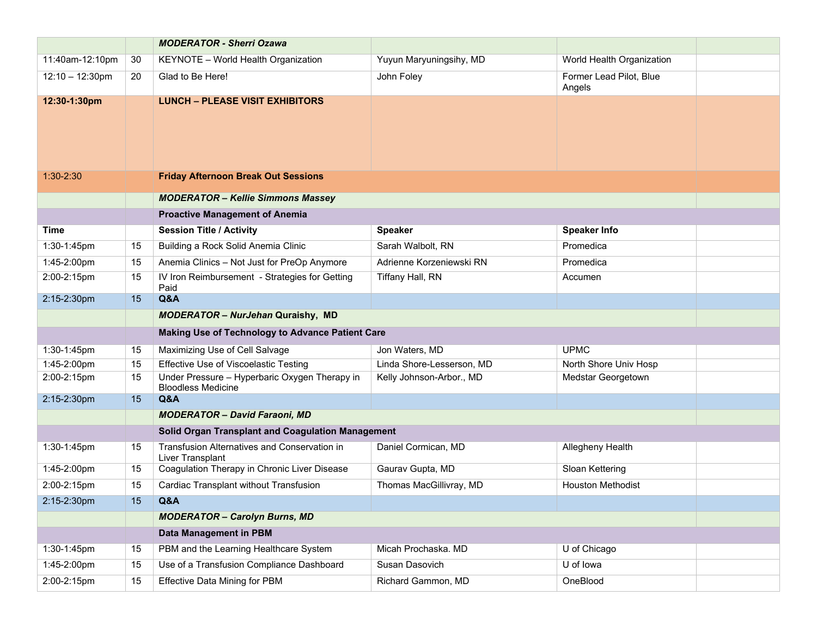|                    |    | <b>MODERATOR - Sherri Ozawa</b>                                            |                           |                                   |  |
|--------------------|----|----------------------------------------------------------------------------|---------------------------|-----------------------------------|--|
| 11:40am-12:10pm    | 30 | KEYNOTE - World Health Organization                                        | Yuyun Maryuningsihy, MD   | World Health Organization         |  |
| $12:10 - 12:30$ pm | 20 | Glad to Be Here!                                                           | John Foley                | Former Lead Pilot, Blue<br>Angels |  |
| 12:30-1:30pm       |    | <b>LUNCH - PLEASE VISIT EXHIBITORS</b>                                     |                           |                                   |  |
| $1:30-2:30$        |    | <b>Friday Afternoon Break Out Sessions</b>                                 |                           |                                   |  |
|                    |    | <b>MODERATOR - Kellie Simmons Massey</b>                                   |                           |                                   |  |
|                    |    | <b>Proactive Management of Anemia</b>                                      |                           |                                   |  |
| Time               |    | <b>Session Title / Activity</b>                                            | <b>Speaker</b>            | <b>Speaker Info</b>               |  |
| 1:30-1:45pm        | 15 | Building a Rock Solid Anemia Clinic                                        | Sarah Walbolt, RN         | Promedica                         |  |
| 1:45-2:00pm        | 15 | Anemia Clinics - Not Just for PreOp Anymore                                | Adrienne Korzeniewski RN  | Promedica                         |  |
| 2:00-2:15pm        | 15 | IV Iron Reimbursement - Strategies for Getting<br>Paid                     | Tiffany Hall, RN          | Accumen                           |  |
| 2:15-2:30pm        | 15 | Q&A                                                                        |                           |                                   |  |
|                    |    | <b>MODERATOR - NurJehan Quraishy, MD</b>                                   |                           |                                   |  |
|                    |    | Making Use of Technology to Advance Patient Care                           |                           |                                   |  |
| 1:30-1:45pm        | 15 | Maximizing Use of Cell Salvage                                             | Jon Waters, MD            | <b>UPMC</b>                       |  |
| 1:45-2:00pm        | 15 | Effective Use of Viscoelastic Testing                                      | Linda Shore-Lesserson, MD | North Shore Univ Hosp             |  |
| 2:00-2:15pm        | 15 | Under Pressure - Hyperbaric Oxygen Therapy in<br><b>Bloodless Medicine</b> | Kelly Johnson-Arbor., MD  | Medstar Georgetown                |  |
| 2:15-2:30pm        | 15 | Q&A                                                                        |                           |                                   |  |
|                    |    | <b>MODERATOR - David Faraoni, MD</b>                                       |                           |                                   |  |
|                    |    | Solid Organ Transplant and Coagulation Management                          |                           |                                   |  |
| 1:30-1:45pm        | 15 | Transfusion Alternatives and Conservation in<br>Liver Transplant           | Daniel Cormican, MD       | Allegheny Health                  |  |
| 1:45-2:00pm        | 15 | Coagulation Therapy in Chronic Liver Disease                               | Gaurav Gupta, MD          | Sloan Kettering                   |  |
| 2:00-2:15pm        | 15 | Cardiac Transplant without Transfusion                                     | Thomas MacGillivray, MD   | <b>Houston Methodist</b>          |  |
| 2:15-2:30pm        | 15 | Q&A                                                                        |                           |                                   |  |
|                    |    | <b>MODERATOR - Carolyn Burns, MD</b>                                       |                           |                                   |  |
|                    |    | Data Management in PBM                                                     |                           |                                   |  |
| 1:30-1:45pm        | 15 | PBM and the Learning Healthcare System                                     | Micah Prochaska. MD       | U of Chicago                      |  |
| 1:45-2:00pm        | 15 | Use of a Transfusion Compliance Dashboard                                  | Susan Dasovich            | U of lowa                         |  |
| 2:00-2:15pm        | 15 | <b>Effective Data Mining for PBM</b>                                       | Richard Gammon, MD        | OneBlood                          |  |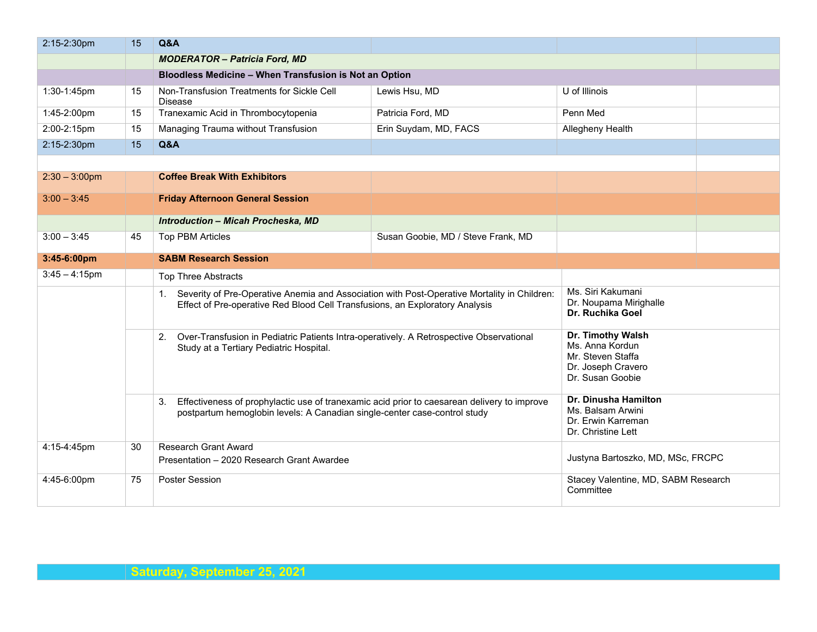| 2:15-2:30pm      | 15 | Q&A                                                                                                                                                                            |                                    |                                                                                                     |  |
|------------------|----|--------------------------------------------------------------------------------------------------------------------------------------------------------------------------------|------------------------------------|-----------------------------------------------------------------------------------------------------|--|
|                  |    | <b>MODERATOR - Patricia Ford, MD</b>                                                                                                                                           |                                    |                                                                                                     |  |
|                  |    | Bloodless Medicine - When Transfusion is Not an Option                                                                                                                         |                                    |                                                                                                     |  |
| 1:30-1:45pm      | 15 | Non-Transfusion Treatments for Sickle Cell<br><b>Disease</b>                                                                                                                   | Lewis Hsu, MD                      | U of Illinois                                                                                       |  |
| 1:45-2:00pm      | 15 | Tranexamic Acid in Thrombocytopenia                                                                                                                                            | Patricia Ford, MD                  | Penn Med                                                                                            |  |
| 2:00-2:15pm      | 15 | Managing Trauma without Transfusion                                                                                                                                            | Erin Suydam, MD, FACS              | Allegheny Health                                                                                    |  |
| 2:15-2:30pm      | 15 | Q&A                                                                                                                                                                            |                                    |                                                                                                     |  |
|                  |    |                                                                                                                                                                                |                                    |                                                                                                     |  |
| $2:30 - 3:00$ pm |    | <b>Coffee Break With Exhibitors</b>                                                                                                                                            |                                    |                                                                                                     |  |
| $3:00 - 3:45$    |    | <b>Friday Afternoon General Session</b>                                                                                                                                        |                                    |                                                                                                     |  |
|                  |    | <b>Introduction - Micah Procheska, MD</b>                                                                                                                                      |                                    |                                                                                                     |  |
| $3:00 - 3:45$    | 45 | <b>Top PBM Articles</b>                                                                                                                                                        | Susan Goobie, MD / Steve Frank, MD |                                                                                                     |  |
| 3:45-6:00pm      |    | <b>SABM Research Session</b>                                                                                                                                                   |                                    |                                                                                                     |  |
| $3:45 - 4:15$ pm |    | <b>Top Three Abstracts</b>                                                                                                                                                     |                                    |                                                                                                     |  |
|                  |    | 1. Severity of Pre-Operative Anemia and Association with Post-Operative Mortality in Children:<br>Effect of Pre-operative Red Blood Cell Transfusions, an Exploratory Analysis |                                    | Ms. Siri Kakumani<br>Dr. Noupama Mirighalle<br>Dr. Ruchika Goel                                     |  |
|                  |    | Over-Transfusion in Pediatric Patients Intra-operatively. A Retrospective Observational<br>2.<br>Study at a Tertiary Pediatric Hospital.                                       |                                    | Dr. Timothy Walsh<br>Ms. Anna Kordun<br>Mr. Steven Staffa<br>Dr. Joseph Cravero<br>Dr. Susan Goobie |  |
|                  |    | Effectiveness of prophylactic use of tranexamic acid prior to caesarean delivery to improve<br>3.<br>postpartum hemoglobin levels: A Canadian single-center case-control study |                                    | Dr. Dinusha Hamilton<br>Ms. Balsam Arwini<br>Dr. Erwin Karreman<br>Dr. Christine Lett               |  |
| 4:15-4:45pm      | 30 | Research Grant Award<br>Presentation - 2020 Research Grant Awardee                                                                                                             |                                    | Justyna Bartoszko, MD, MSc, FRCPC                                                                   |  |
|                  |    |                                                                                                                                                                                |                                    |                                                                                                     |  |
| 4:45-6:00pm      | 75 | <b>Poster Session</b>                                                                                                                                                          |                                    | Stacey Valentine, MD, SABM Research<br>Committee                                                    |  |